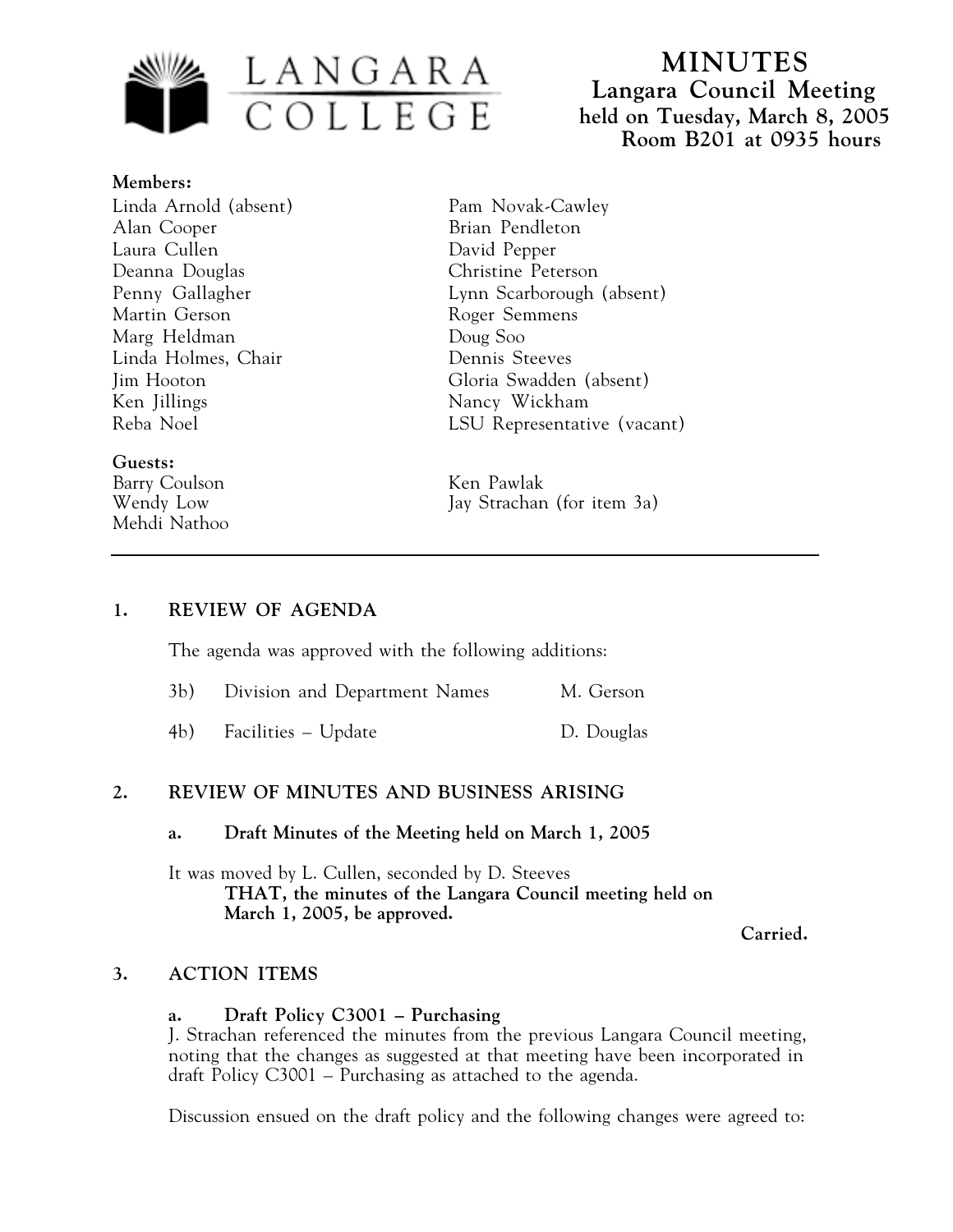

**MINUTES Langara Council Meeting held on Tuesday, March 8, 2005 Room B201 at 0935 hours**

**Members:** Linda Arnold (absent) Alan Cooper Laura Cullen Deanna Douglas Penny Gallagher Martin Gerson Marg Heldman Linda Holmes, Chair Jim Hooton Ken Jillings Reba Noel

## **Guests:**

Barry Coulson Ken Pawlak Mehdi Nathoo

Pam Novak-Cawley Brian Pendleton David Pepper Christine Peterson Lynn Scarborough (absent) Roger Semmens Doug Soo Dennis Steeves Gloria Swadden (absent) Nancy Wickham LSU Representative (vacant)

Wendy Low Jay Strachan (for item 3a)

### **1. REVIEW OF AGENDA**

The agenda was approved with the following additions:

| 3b) Division and Department Names | M. Gerson  |
|-----------------------------------|------------|
| 4b) Facilities – Update           | D. Douglas |

## **2. REVIEW OF MINUTES AND BUSINESS ARISING**

#### **a. Draft Minutes of the Meeting held on March 1, 2005**

It was moved by L. Cullen, seconded by D. Steeves **THAT, the minutes of the Langara Council meeting held on March 1, 2005, be approved.**

**Carried.**

### **3. ACTION ITEMS**

### **a. Draft Policy C3001 – Purchasing**

J. Strachan referenced the minutes from the previous Langara Council meeting, noting that the changes as suggested at that meeting have been incorporated in draft Policy C3001 – Purchasing as attached to the agenda.

Discussion ensued on the draft policy and the following changes were agreed to: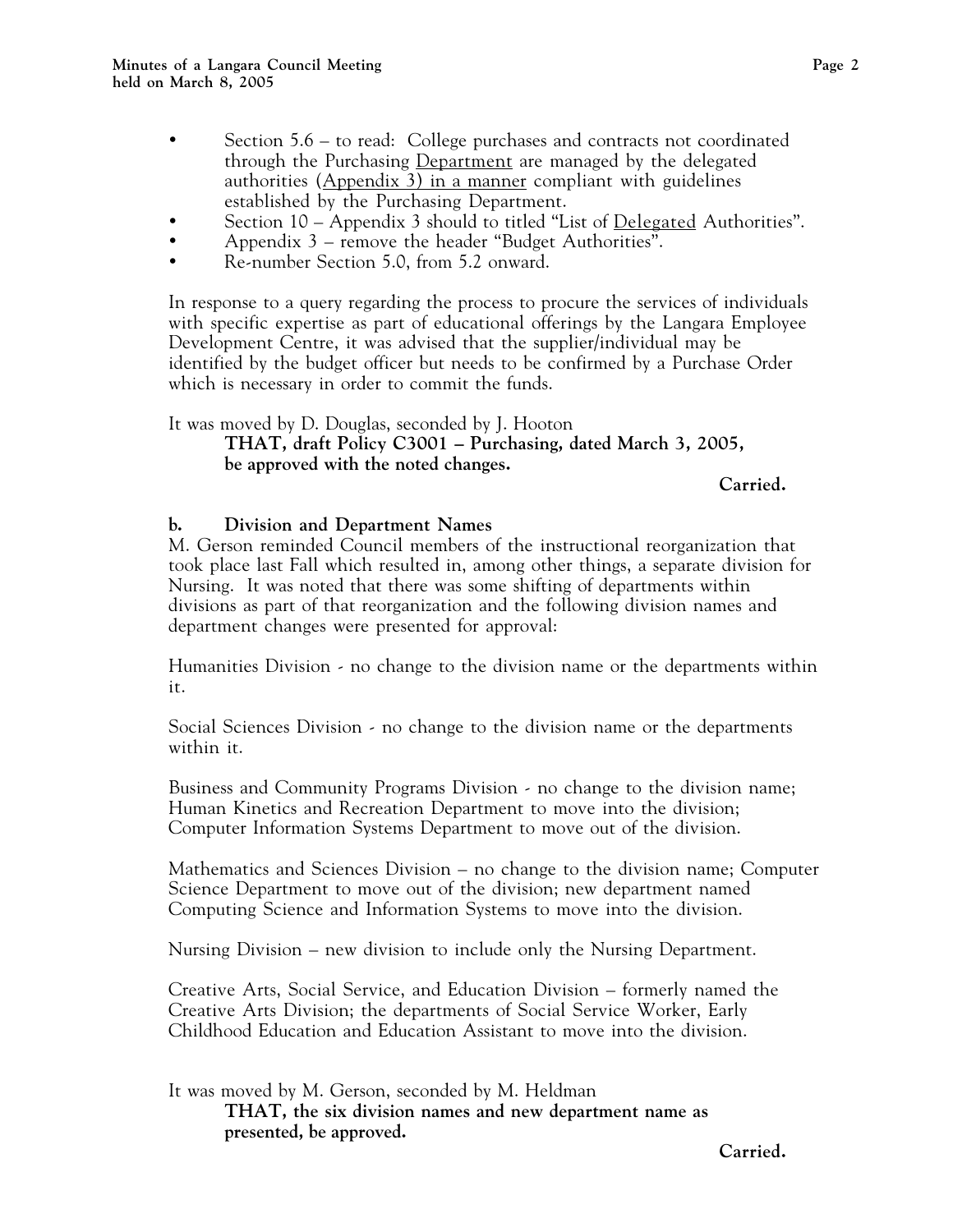Section 5.6 – to read: College purchases and contracts not coordinated through the Purchasing Department are managed by the delegated authorities  $(Appendix 3)$  in a manner compliant with guidelines established by the Purchasing Department. Section 10 – Appendix 3 should to titled "List of <u>Delegated</u> Authorities". Appendix 3 – remove the header "Budget Authorities". Re-number Section 5.0, from 5.2 onward.

In response to a query regarding the process to procure the services of individuals with specific expertise as part of educational offerings by the Langara Employee Development Centre, it was advised that the supplier/individual may be identified by the budget officer but needs to be confirmed by a Purchase Order which is necessary in order to commit the funds.

It was moved by D. Douglas, seconded by J. Hooton

**THAT, draft Policy C3001 – Purchasing, dated March 3, 2005, be approved with the noted changes.**

**Carried.**

### **b. Division and Department Names**

M. Gerson reminded Council members of the instructional reorganization that took place last Fall which resulted in, among other things, a separate division for Nursing. It was noted that there was some shifting of departments within divisions as part of that reorganization and the following division names and department changes were presented for approval:

Humanities Division - no change to the division name or the departments within it.

Social Sciences Division - no change to the division name or the departments within it.

Business and Community Programs Division - no change to the division name; Human Kinetics and Recreation Department to move into the division; Computer Information Systems Department to move out of the division.

Mathematics and Sciences Division – no change to the division name; Computer Science Department to move out of the division; new department named Computing Science and Information Systems to move into the division.

Nursing Division – new division to include only the Nursing Department.

Creative Arts, Social Service, and Education Division – formerly named the Creative Arts Division; the departments of Social Service Worker, Early Childhood Education and Education Assistant to move into the division.

It was moved by M. Gerson, seconded by M. Heldman **THAT, the six division names and new department name as presented, be approved.**